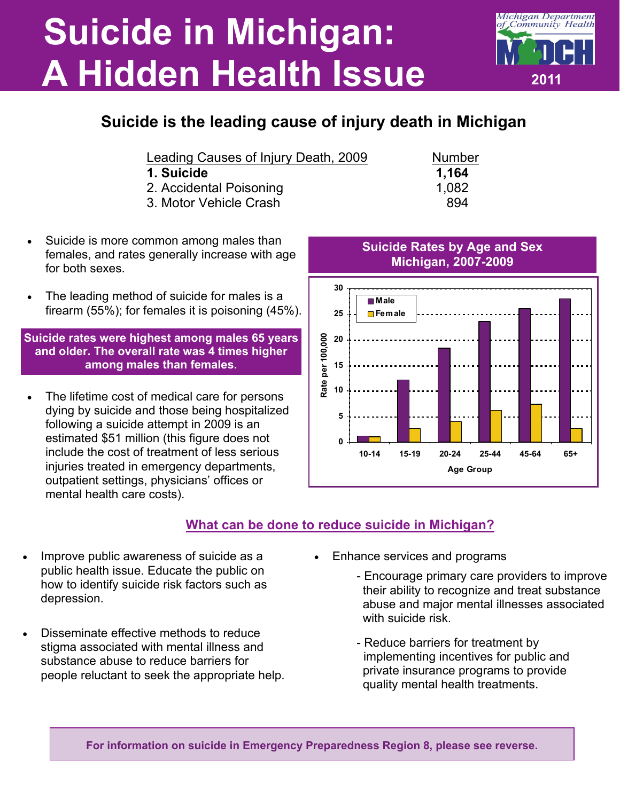## **Suicide in Michigan: A Hidden Health Issue**



| Leading Causes of Injury Death, 2009 |  | <b>Number</b> |
|--------------------------------------|--|---------------|
|                                      |  |               |

- **1. Suicide 1,164**
- 2. Accidental Poisoning 1,082
- 3. Motor Vehicle Crash 894
- Suicide is more common among males than females, and rates generally increase with age for both sexes.
- The leading method of suicide for males is a firearm (55%); for females it is poisoning (45%).

**Suicide rates were highest among males 65 years and older. The overall rate was 4 times higher among males than females.** 

 The lifetime cost of medical care for persons dying by suicide and those being hospitalized following a suicide attempt in 2009 is an estimated \$51 million (this figure does not include the cost of treatment of less serious injuries treated in emergency departments, outpatient settings, physicians' offices or mental health care costs).

**30 Male 25 Female** Rate per 100,000 **Rate per 100,000 20 15 10**

## **What can be done to reduce suicide in Michigan?**

**0**

**5**

- Improve public awareness of suicide as a public health issue. Educate the public on how to identify suicide risk factors such as depression.
- Disseminate effective methods to reduce stigma associated with mental illness and substance abuse to reduce barriers for people reluctant to seek the appropriate help.
- Enhance services and programs
	- Encourage primary care providers to improve their ability to recognize and treat substance abuse and major mental illnesses associated with suicide risk

**10-14 15-19 20-24 25-44 45-64 65+ Age Group**

 - Reduce barriers for treatment by implementing incentives for public and private insurance programs to provide quality mental health treatments.

**For information on suicide in Emergency Preparedness Region 8, please see reverse.**